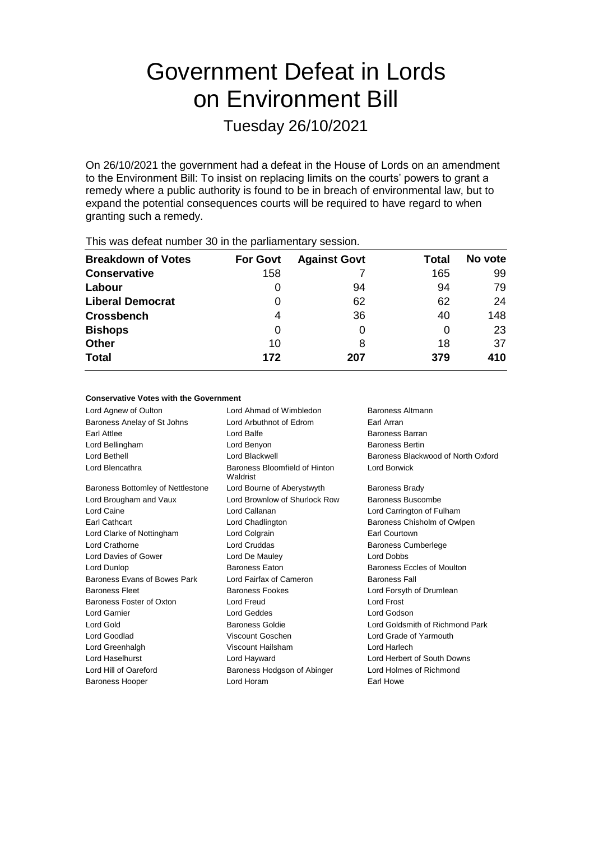# Government Defeat in Lords on Environment Bill

Tuesday 26/10/2021

On 26/10/2021 the government had a defeat in the House of Lords on an amendment to the Environment Bill: To insist on replacing limits on the courts' powers to grant a remedy where a public authority is found to be in breach of environmental law, but to expand the potential consequences courts will be required to have regard to when granting such a remedy.

| This was abloat harmoor oo in the parliamentary cooplem. |                 |                     |       |         |  |
|----------------------------------------------------------|-----------------|---------------------|-------|---------|--|
| <b>Breakdown of Votes</b>                                | <b>For Govt</b> | <b>Against Govt</b> | Total | No vote |  |
| <b>Conservative</b>                                      | 158             |                     | 165   | 99      |  |
| Labour                                                   |                 | 94                  | 94    | 79      |  |
| <b>Liberal Democrat</b>                                  | 0               | 62                  | 62    | 24      |  |
| <b>Crossbench</b>                                        | 4               | 36                  | 40    | 148     |  |
| <b>Bishops</b>                                           | 0               | O                   | O     | 23      |  |
| <b>Other</b>                                             | 10              | 8                   | 18    | 37      |  |
| <b>Total</b>                                             | 172             | 207                 | 379   | 410     |  |
|                                                          |                 |                     |       |         |  |

This was defeat number 30 in the parliamentary session.

#### **Conservative Votes with the Government**

| Lord Agnew of Oulton              | Lord Ahmad of Wimbledon                   | <b>Baroness Altmann</b>            |
|-----------------------------------|-------------------------------------------|------------------------------------|
| Baroness Anelay of St Johns       | Lord Arbuthnot of Edrom                   | Earl Arran                         |
| Earl Attlee                       | Lord Balfe                                | <b>Baroness Barran</b>             |
| Lord Bellingham                   | Lord Benyon                               | <b>Baroness Bertin</b>             |
| Lord Bethell                      | Lord Blackwell                            | Baroness Blackwood of North Oxford |
| Lord Blencathra                   | Baroness Bloomfield of Hinton<br>Waldrist | Lord Borwick                       |
| Baroness Bottomley of Nettlestone | Lord Bourne of Aberystwyth                | <b>Baroness Brady</b>              |
| Lord Brougham and Vaux            | Lord Brownlow of Shurlock Row             | Baroness Buscombe                  |
| Lord Caine                        | Lord Callanan                             | Lord Carrington of Fulham          |
| Earl Cathcart                     | Lord Chadlington                          | Baroness Chisholm of Owlpen        |
| Lord Clarke of Nottingham         | Lord Colgrain                             | Earl Courtown                      |
| Lord Crathorne                    | Lord Cruddas                              | <b>Baroness Cumberlege</b>         |
| Lord Davies of Gower              | Lord De Mauley                            | Lord Dobbs                         |
| Lord Dunlop                       | Baroness Eaton                            | Baroness Eccles of Moulton         |
| Baroness Evans of Bowes Park      | Lord Fairfax of Cameron                   | <b>Baroness Fall</b>               |
| <b>Baroness Fleet</b>             | <b>Baroness Fookes</b>                    | Lord Forsyth of Drumlean           |
| Baroness Foster of Oxton          | Lord Freud                                | Lord Frost                         |
| <b>Lord Garnier</b>               | Lord Geddes                               | Lord Godson                        |
| Lord Gold                         | <b>Baroness Goldie</b>                    | Lord Goldsmith of Richmond Park    |
| Lord Goodlad                      | Viscount Goschen                          | Lord Grade of Yarmouth             |
| Lord Greenhalgh                   | Viscount Hailsham                         | Lord Harlech                       |
| Lord Haselhurst                   | Lord Hayward                              | Lord Herbert of South Downs        |
| Lord Hill of Oareford             | Baroness Hodgson of Abinger               | Lord Holmes of Richmond            |
| <b>Baroness Hooper</b>            | Lord Horam                                | Earl Howe                          |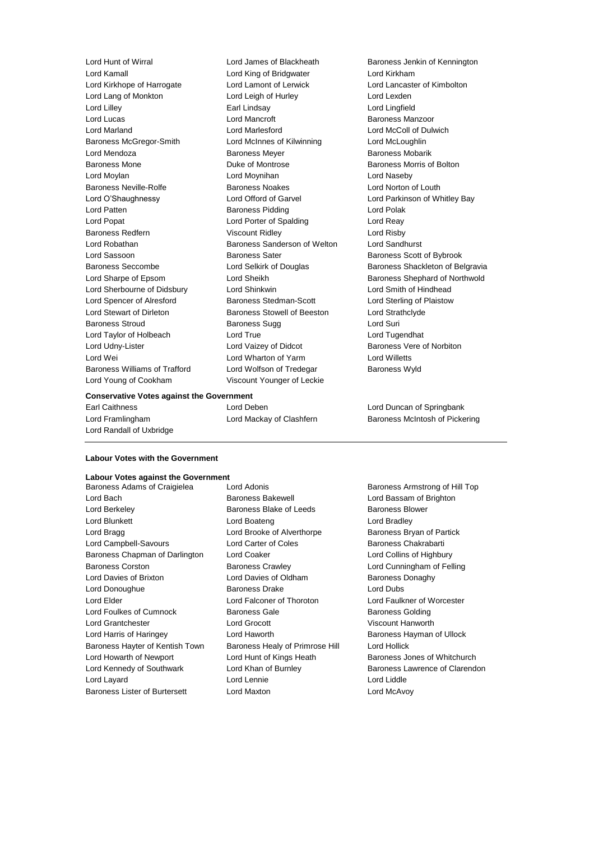Lord Kamall Lord King of Bridgwater Lord Kirkham Lord Kirkhope of Harrogate Lord Lamont of Lerwick Lord Lancaster of Kimbolton Lord Lang of Monkton Lord Leigh of Hurley Lord Lexden Lord Lilley Earl Lindsay Lord Lingfield Lord Lucas **Lord Mancroft Baroness Manzoor Lord Mancroft Baroness Manzoor** Lord Marland Lord Marlesford Lord McColl of Dulwich Baroness McGregor-Smith Lord McInnes of Kilwinning Lord McLoughlin Lord Mendoza **Baroness Meyer** Baroness Meyer **Baroness Mobarik** Baroness Mone **Baroness Montrose** Baroness Morris of Bolton Lord Moylan Lord Moynihan Lord Naseby Baroness Neville-Rolfe **Baroness Noakes** Lord Norton of Louth Lord O'Shaughnessy Lord Offord of Garvel Lord Parkinson of Whitley Bay Lord Patten **Baroness Pidding Lord Polak** Lord Polak Lord Popat **Lord Porter of Spalding** Lord Reay Baroness Redfern **Viscount Ridley Lord Risby** Lord Robathan Baroness Sanderson of Welton Lord Sandhurst Lord Sassoon **Baroness Sater** Baroness Scott of Bybrook Lord Sherbourne of Didsbury Lord Shinkwin Lord Smith of Hindhead Lord Spencer of Alresford Baroness Stedman-Scott Lord Sterling of Plaistow Lord Stewart of Dirleton Baroness Stowell of Beeston Lord Strathclyde Baroness Stroud **Baroness Sugg Community** Baroness Sugg **Lord Suri** Lord Taylor of Holbeach Lord True Lord Tugendhat Lord Udny-Lister Lord Vaizey of Didcot Baroness Vere of Norbiton Lord Wei Lord Wharton of Yarm Lord Willetts Baroness Williams of Trafford Lord Wolfson of Tredegar Baroness Wyld Lord Young of Cookham Viscount Younger of Leckie

Lord Hunt of Wirral Lord James of Blackheath Baroness Jenkin of Kennington

#### **Conservative Votes against the Government**

Lord Randall of Uxbridge

Earl Caithness Lord Deben Lord Duncan of Springbank

Baroness Seccombe **Lord Selkirk of Douglas** Baroness Shackleton of Belgravia Lord Sharpe of Epsom Cord Sheikh Baroness Shephard of Northwold

Lord Framlingham **Lord Mackay of Clashfern** Baroness McIntosh of Pickering

#### **Labour Votes with the Government**

# **Labour Votes against the Government**

Lord Bach Baroness Bakewell Lord Bassam of Brighton Lord Berkeley **Baroness Blake of Leeds** Baroness Blower Lord Blunkett Lord Boateng Lord Bradley Lord Bragg **Lord Brooke of Alverthorpe** Baroness Bryan of Partick Lord Campbell-Savours **Lord Carter of Coles** Baroness Chakrabarti Baroness Chapman of Darlington Lord Coaker Lord Coaker Lord Collins of Highbury Baroness Corston Baroness Crawley Lord Cunningham of Felling Lord Davies of Brixton **Lord Davies of Oldham** Baroness Donaghy Lord Donoughue Baroness Drake Lord Dubs Lord Elder Lord Falconer of Thoroton Lord Faulkner of Worcester Lord Foulkes of Cumnock **Baroness Gale** Baroness Golding Baroness Golding Lord Grantchester Lord Grocott Viscount Hanworth Lord Harris of Haringey **Lord Haworth Lord Haworth** Baroness Hayman of Ullock Baroness Hayter of Kentish Town Baroness Healy of Primrose Hill Lord Hollick Lord Howarth of Newport Lord Hunt of Kings Heath Baroness Jones of Whitchurch Lord Kennedy of Southwark **Lord Khan of Burnley Communist Clarendon** Baroness Lawrence of Clarendon Lord Layard Lord Lennie Lord Liddle Baroness Lister of Burtersett Lord Maxton Lord McAvoy

Baroness Adams of Craigielea Lord Adonis **Baroness Armstrong of Hill Top**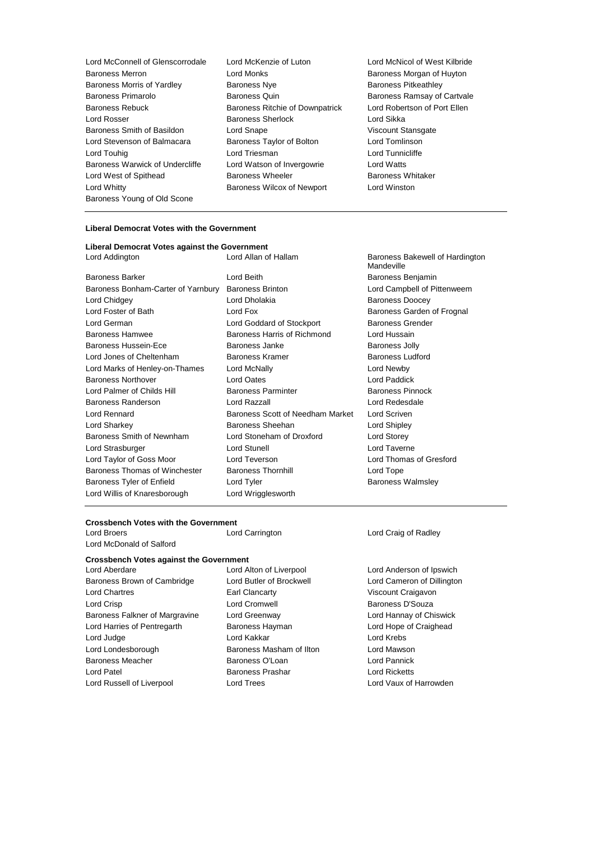- Lord McConnell of Glenscorrodale Lord McKenzie of Luton Lord McNicol of West Kilbride Baroness Merron **Baroness Morton Lord Monks Baroness Morgan of Huyton** Baroness Morris of Yardley **Baroness Nye Baroness Network** Baroness Pitkeathley Baroness Primarolo Baroness Quin Baroness Ramsay of Cartvale Baroness Rebuck **Baroness Ritchie of Downpatrick** Lord Robertson of Port Ellen Lord Rosser Baroness Sherlock Lord Sikka Baroness Smith of Basildon Lord Snape Corresponding Viscount Stansgate Lord Stevenson of Balmacara Baroness Taylor of Bolton Lord Tomlinson Lord Touhig Lord Triesman Lord Tunnicliffe Baroness Warwick of Undercliffe Lord Watson of Invergowrie Lord Watts Lord West of Spithead Baroness Wheeler Baroness Whitaker Lord Whitty Baroness Wilcox of Newport Lord Winston Baroness Young of Old Scone
	-
- 

#### **Liberal Democrat Votes with the Government**

## **Liberal Democrat Votes against the Government**

Baroness Barker **Communist Communist Communist Communist Communist Communist Communist Communist Communist Communist Communist Communist Communist Communist Communist Communist Communist Communist Communist Communist Commu** Baroness Bonham-Carter of Yarnbury Baroness Brinton Lord Campbell of Pittenweem Lord Chidgey **Lord Dholakia** Baroness Doocey **Lord Dholakia** Baroness Doocey Lord Foster of Bath **Lord Fox** Lord Fox **Baroness Garden of Frognal** Lord German **Lord Goddard of Stockport** Baroness Grender Baroness Hamwee **Baroness Harris of Richmond** Lord Hussain Baroness Hussein-Ece **Baroness** Janke Baroness Janke Baroness Jolly Lord Jones of Cheltenham Baroness Kramer Baroness Ludford Lord Marks of Henley-on-Thames Lord McNally Lord Newby Baroness Northover Lord Oates Lord Paddick Lord Palmer of Childs Hill Baroness Parminter Baroness Pinnock Baroness Randerson Lord Razzall Lord Redesdale Lord Rennard Baroness Scott of Needham Market Lord Scriven Lord Sharkey **Baroness Sheehan** Lord Shipley **Lord Shipley** Baroness Smith of Newnham Lord Stoneham of Droxford Lord Storey Lord Strasburger Lord Stunell Lord Taverne Lord Taylor of Goss Moor Lord Teverson Lord Thomas of Gresford Baroness Thomas of Winchester Baroness Thornhill Lord Tope Baroness Tyler of Enfield **Lord Tyler** Lord Tyler **Baroness Walmsley** Lord Willis of Knaresborough Lord Wrigglesworth

Lord Addington Lord Allan of Hallam Baroness Bakewell of Hardington Mandeville

# **Crossbench Votes with the Government**

Lord Broers Lord Carrington Lord Craig of Radley Lord McDonald of Salford

**Crossbench Votes against the Government**

Baroness Brown of Cambridge Lord Butler of Brockwell Lord Cameron of Dillington Lord Chartres **Earl Clancarty Example 20** Viscount Craigavon Lord Crisp Lord Cromwell Baroness D'Souza Baroness Falkner of Margravine Lord Greenway Lord Hannay of Chiswick Lord Harries of Pentregarth Baroness Hayman Lord Hope of Craighead Lord Judge Lord Kakkar Lord Krebs Lord Londesborough **Baroness Masham of Ilton** Lord Mawson Baroness Meacher Baroness O'Loan Lord Pannick Lord Patel Baroness Prashar Lord Ricketts Lord Russell of Liverpool Lord Trees Lord Vaux of Harrowden

Lord Aberdare Lord Alton of Liverpool Lord Anderson of Ipswich